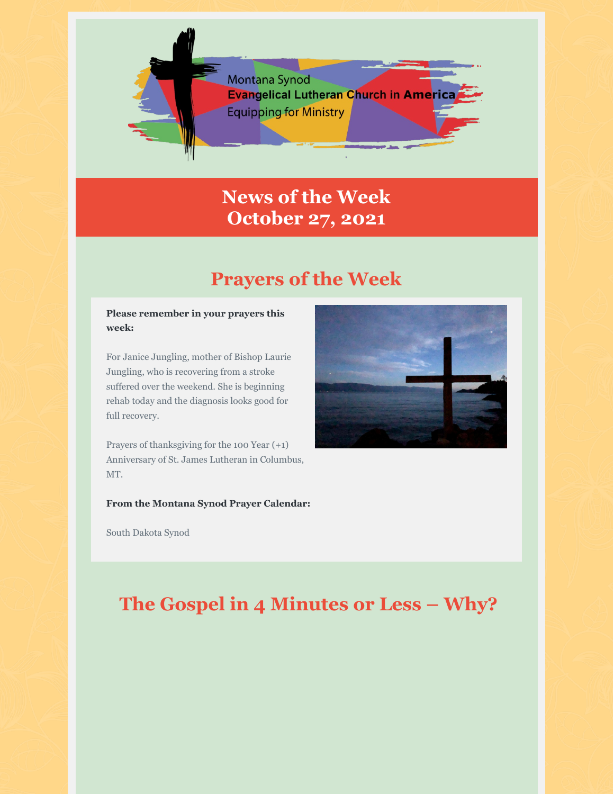

## **News of the Week October 27, 2021**

## **Prayers of the Week**

#### **Please remember in your prayers this week:**

For Janice Jungling, mother of Bishop Laurie Jungling, who is recovering from a stroke suffered over the weekend. She is beginning rehab today and the diagnosis looks good for full recovery.

Prayers of thanksgiving for the 100 Year (+1) Anniversary of St. James Lutheran in Columbus, MT.

**From the Montana Synod Prayer Calendar:**

South Dakota Synod



## **The Gospel in 4 Minutes or Less – Why?**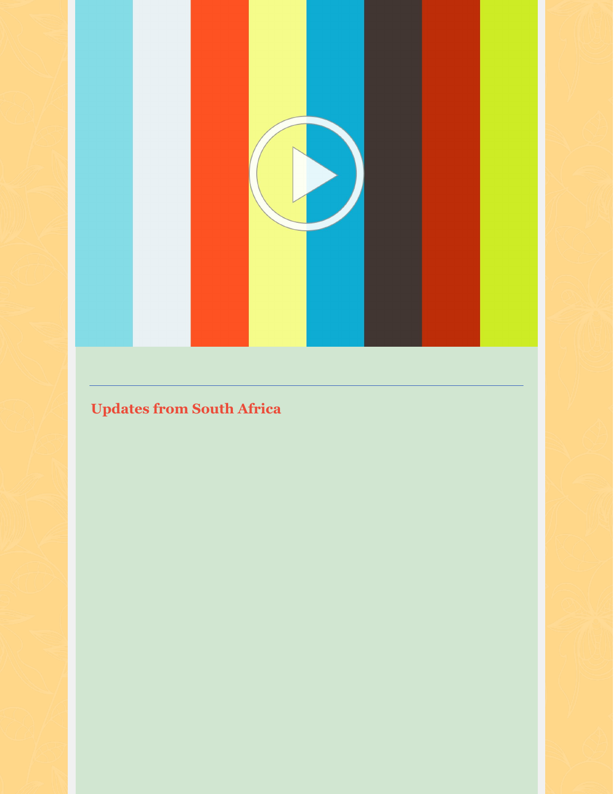

# **Updates from South Africa**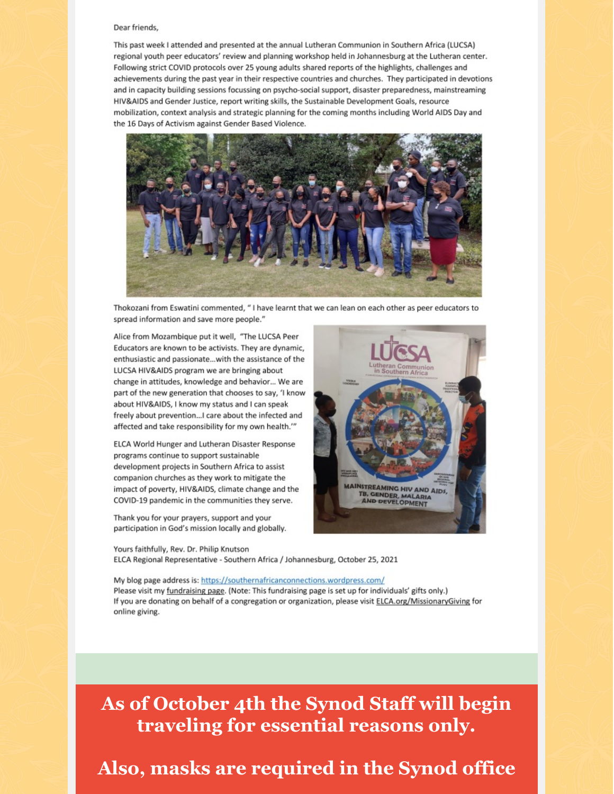#### Dear friends,

This past week I attended and presented at the annual Lutheran Communion in Southern Africa (LUCSA) regional youth peer educators' review and planning workshop held in Johannesburg at the Lutheran center. Following strict COVID protocols over 25 young adults shared reports of the highlights, challenges and achievements during the past year in their respective countries and churches. They participated in devotions and in capacity building sessions focussing on psycho-social support, disaster preparedness, mainstreaming HIV&AIDS and Gender Justice, report writing skills, the Sustainable Development Goals, resource mobilization, context analysis and strategic planning for the coming months including World AIDS Day and the 16 Days of Activism against Gender Based Violence.



Thokozani from Eswatini commented, "I have learnt that we can lean on each other as peer educators to spread information and save more people."

Alice from Mozambique put it well, "The LUCSA Peer Educators are known to be activists. They are dynamic, enthusiastic and passionate...with the assistance of the LUCSA HIV&AIDS program we are bringing about change in attitudes, knowledge and behavior... We are part of the new generation that chooses to say, 'I know about HIV&AIDS, I know my status and I can speak freely about prevention...I care about the infected and affected and take responsibility for my own health."

ELCA World Hunger and Lutheran Disaster Response programs continue to support sustainable development projects in Southern Africa to assist companion churches as they work to mitigate the impact of poverty, HIV&AIDS, climate change and the COVID-19 pandemic in the communities they serve.

Thank you for your prayers, support and your participation in God's mission locally and globally.



Yours faithfully, Rev. Dr. Philip Knutson ELCA Regional Representative - Southern Africa / Johannesburg, October 25, 2021

My blog page address is: https://southernafricanconnections.wordpress.com/ Please visit my fundraising page. (Note: This fundraising page is set up for individuals' gifts only.) If you are donating on behalf of a congregation or organization, please visit ELCA.org/MissionaryGiving for online giving.

As of October 4th the Synod Staff will begin traveling for essential reasons only.

#### Also, masks are required in the Synod office